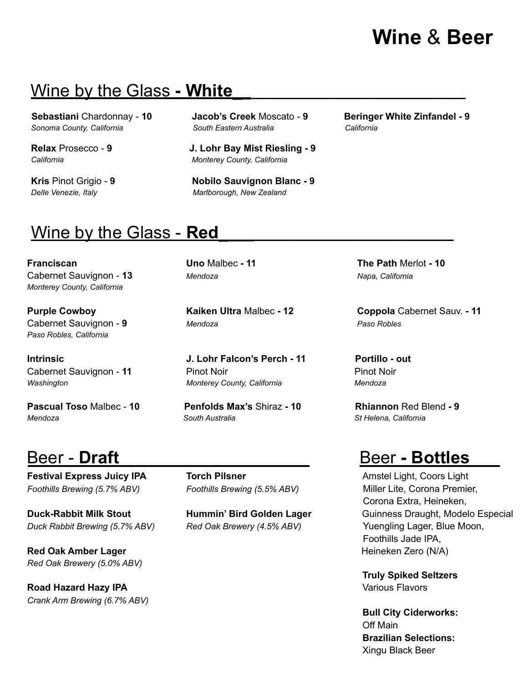# **Wine** & **Beer**

## Wine by the Glass **- White\_\_\_\_\_\_\_\_\_\_\_\_\_\_\_\_\_\_\_\_\_\_\_\_\_\_\_\_\_\_**

*Sonoma County, California South Eastern Australia California*

**Relax** Prosecco - **9 J. Lohr Bay Mist Riesling - 9** *California Monterey County, California*

**Kris** Pinot Grigio - **9 Nobilo Sauvignon Blanc - 9** *Delle Venezie, Italy Marlborough, New Zealand*

**Sebastiani** Chardonnay - **10 Jacob's Creek** Moscato - **9 Beringer White Zinfandel - 9**

## Wine by the Glass - **Red\_***\_\_\_\_\_\_\_\_\_\_\_\_\_\_\_\_\_\_\_\_\_\_\_\_\_\_\_\_\_*

**Franciscan Uno** Malbec **- 11 The Path** Merlot **- 10** Cabernet Sauvignon - **13** *Mendoza Napa, California Monterey County, California*

*Paso Robles, California*

**Pascual Toso** Malbec - **10 Penfolds Max's** Shiraz **- 10 Rhiannon** Red Blend **- 9**

**Festival Express Juicy IPA Torch Pilsner The Community Cooperation Cooperation Cooperation Cooperation Cooperation Cooperation Cooperation Cooperation Cooperation Cooperation Cooperation Cooperation Cooperation Cooper** *Foothills Brewing (5.7% ABV) Foothills Brewing (5.5% ABV)* Miller Lite, Corona Premier,

*Duck Rabbit Brewing (5.7% ABV) Red Oak Brewery (4.5% ABV)* Yuengling Lager, Blue Moon,

**Red Oak Amber Lager Contract Contract Contract Contract Contract Contract Contract Contract Contract Contract Contract Contract Contract Contract Contract Contract Contract Contract Contract Contract Contract Contract C** *Red Oak Brewery (5.0% ABV)*

**Road Hazard Hazy IPA** Various Flavors *Crank Arm Brewing (6.7% ABV)*

Cabernet Sauvignon - **9** *Mendoza Paso Robles*

**Intrinsic J. Lohr Falcon's Perch - 11 Portillo - out** Cabernet Sauvignon - **11** Pinot Noir Pinot Noir *Washington Monterey County, California Mendoza*

*Mendoza South Australia St Helena, California*

**Purple Cowboy Kaiken Ultra** Malbec **- 12 Coppola** Cabernet Sauv. **- 11**

### Beer - **Draft\_\_\_\_\_\_\_\_\_\_\_\_\_\_\_\_\_\_\_** Beer **- Bottles\_\_\_**

Corona Extra, Heineken, **Duck-Rabbit Milk Stout Hummin' Bird Golden Lager** Guinness Draught, Modelo Especial Foothills Jade IPA,

**Truly Spiked Seltzers**

**Bull City Ciderworks:** Off Main **Brazilian Selections:** Xingu Black Beer